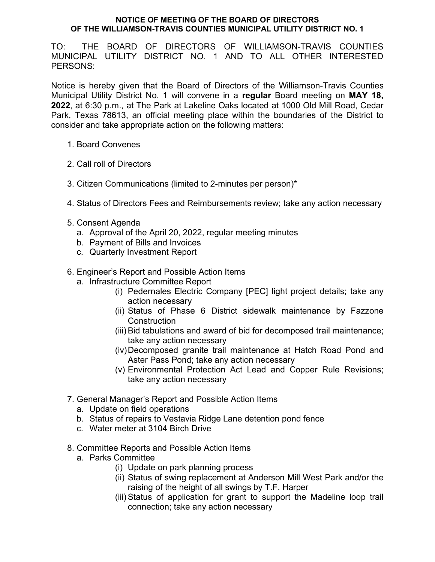## **NOTICE OF MEETING OF THE BOARD OF DIRECTORS OF THE WILLIAMSON-TRAVIS COUNTIES MUNICIPAL UTILITY DISTRICT NO. 1**

TO: THE BOARD OF DIRECTORS OF WILLIAMSON-TRAVIS COUNTIES MUNICIPAL UTILITY DISTRICT NO. 1 AND TO ALL OTHER INTERESTED PERSONS:

Notice is hereby given that the Board of Directors of the Williamson-Travis Counties Municipal Utility District No. 1 will convene in a **regular** Board meeting on **MAY 18, 2022**, at 6:30 p.m., at The Park at Lakeline Oaks located at 1000 Old Mill Road, Cedar Park, Texas 78613, an official meeting place within the boundaries of the District to consider and take appropriate action on the following matters:

- 1. Board Convenes
- 2. Call roll of Directors
- 3. Citizen Communications (limited to 2-minutes per person)\*
- 4. Status of Directors Fees and Reimbursements review; take any action necessary
- 5. Consent Agenda
	- a. Approval of the April 20, 2022, regular meeting minutes
	- b. Payment of Bills and Invoices
	- c. Quarterly Investment Report
- 6. Engineer's Report and Possible Action Items
	- a. Infrastructure Committee Report
		- (i) Pedernales Electric Company [PEC] light project details; take any action necessary
		- (ii) Status of Phase 6 District sidewalk maintenance by Fazzone **Construction**
		- (iii) Bid tabulations and award of bid for decomposed trail maintenance; take any action necessary
		- (iv)Decomposed granite trail maintenance at Hatch Road Pond and Aster Pass Pond; take any action necessary
		- (v) Environmental Protection Act Lead and Copper Rule Revisions; take any action necessary
- 7. General Manager's Report and Possible Action Items
	- a. Update on field operations
	- b. Status of repairs to Vestavia Ridge Lane detention pond fence
	- c. Water meter at 3104 Birch Drive
- 8. Committee Reports and Possible Action Items
	- a. Parks Committee
		- (i) Update on park planning process
		- (ii) Status of swing replacement at Anderson Mill West Park and/or the raising of the height of all swings by T.F. Harper
		- (iii) Status of application for grant to support the Madeline loop trail connection; take any action necessary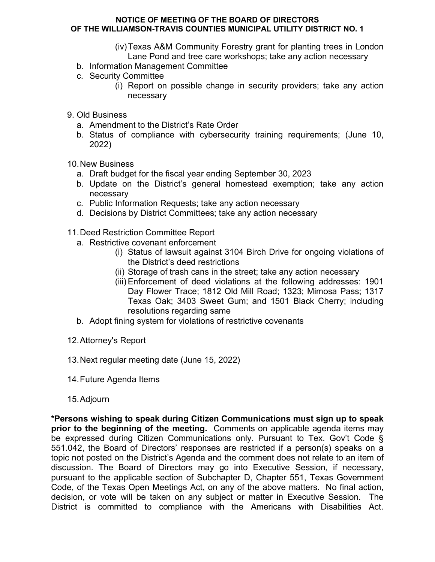## **NOTICE OF MEETING OF THE BOARD OF DIRECTORS OF THE WILLIAMSON-TRAVIS COUNTIES MUNICIPAL UTILITY DISTRICT NO. 1**

- (iv)Texas A&M Community Forestry grant for planting trees in London Lane Pond and tree care workshops; take any action necessary
- b. Information Management Committee
- c. Security Committee
	- (i) Report on possible change in security providers; take any action necessary
- 9. Old Business
	- a. Amendment to the District's Rate Order
	- b. Status of compliance with cybersecurity training requirements; (June 10, 2022)
- 10.New Business
	- a. Draft budget for the fiscal year ending September 30, 2023
	- b. Update on the District's general homestead exemption; take any action necessary
	- c. Public Information Requests; take any action necessary
	- d. Decisions by District Committees; take any action necessary
- 11.Deed Restriction Committee Report
	- a. Restrictive covenant enforcement
		- (i) Status of lawsuit against 3104 Birch Drive for ongoing violations of the District's deed restrictions
		- (ii) Storage of trash cans in the street; take any action necessary
		- (iii) Enforcement of deed violations at the following addresses: 1901 Day Flower Trace; 1812 Old Mill Road; 1323; Mimosa Pass; 1317 Texas Oak; 3403 Sweet Gum; and 1501 Black Cherry; including resolutions regarding same
	- b. Adopt fining system for violations of restrictive covenants
- 12.Attorney's Report
- 13.Next regular meeting date (June 15, 2022)
- 14.Future Agenda Items
- 15.Adjourn

**\*Persons wishing to speak during Citizen Communications must sign up to speak prior to the beginning of the meeting.** Comments on applicable agenda items may be expressed during Citizen Communications only. Pursuant to Tex. Gov't Code § 551.042, the Board of Directors' responses are restricted if a person(s) speaks on a topic not posted on the District's Agenda and the comment does not relate to an item of discussion. The Board of Directors may go into Executive Session, if necessary, pursuant to the applicable section of Subchapter D, Chapter 551, Texas Government Code, of the Texas Open Meetings Act, on any of the above matters. No final action, decision, or vote will be taken on any subject or matter in Executive Session. The District is committed to compliance with the Americans with Disabilities Act.